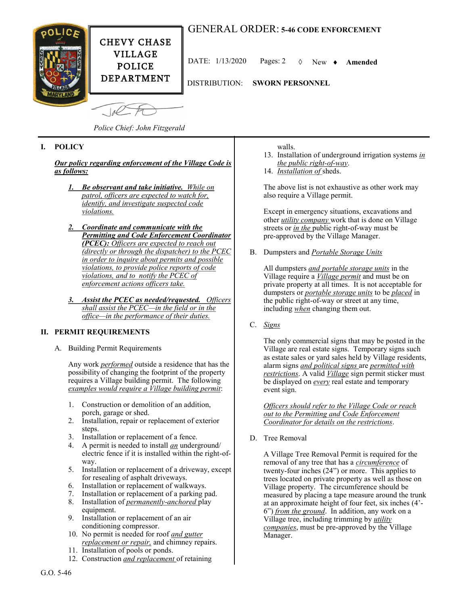## GENERAL ORDER: **5-46 CODE ENFORCEMENT**



CHEVY CHASE VILLAGE POLICE DEPARTMENT

DATE: 1/13/2020 Pages: 2 New **Amended**

DISTRIBUTION: **SWORN PERSONNEL**

*Police Chief: John Fitzgerald*

 $1/2$ 

## **I. POLICY**

*Our policy regarding enforcement of the Village Code is as follows:*

- *1. Be observant and take initiative. While on patrol, officers are expected to watch for, identify, and investigate suspected code violations.*
- *2. Coordinate and communicate with the Permitting and Code Enforcement Coordinator (PCEC): Officers are expected to reach out (directly or through the dispatcher) to the PCEC in order to inquire about permits and possible violations, to provide police reports of code violations, and to notify the PCEC of enforcement actions officers take.*
- *3. Assist the PCEC as needed/requested. Officers shall assist the PCEC—in the field or in the office—in the performance of their duties.*

## **II. PERMIT REQUIREMENTS**

A. Building Permit Requirements

Any work *performed* outside a residence that has the possibility of changing the footprint of the property requires a Village building permit. The following *examples would require a Village building permit*:

- 1. Construction or demolition of an addition, porch, garage or shed.
- 2. Installation, repair or replacement of exterior steps.
- 3. Installation or replacement of a fence.
- 4. A permit is needed to install *an* underground/ electric fence if it is installed within the right-ofway.
- 5. Installation or replacement of a driveway, except for resealing of asphalt driveways.
- 6. Installation or replacement of walkways.
- 7. Installation or replacement of a parking pad.
- 8. Installation of *permanently-anchored* play equipment.
- 9. Installation or replacement of an air conditioning compressor.
- 10. No permit is needed for roof *and gutter replacement or repair,* and chimney repairs.
- 11. Installation of pools or ponds.
- 12. Construction *and replacement* of retaining
- walls.
- 13. Installation of underground irrigation systems *in the public right-of-way*.
- 14. *Installation of* sheds.

The above list is not exhaustive as other work may also require a Village permit.

Except in emergency situations, excavations and other *utility company* work that is done on Village streets or *in the* public right-of-way must be pre-approved by the Village Manager.

B. Dumpsters and *Portable Storage Units*

All dumpsters *and portable storage units* in the Village require a *Village permit* and must be on private property at all times. It is not acceptable for dumpsters or *portable storage units* to be *placed* in the public right-of-way or street at any time, including *when* changing them out.

C. *Signs*

The only commercial signs that may be posted in the Village are real estate signs. Temporary signs such as estate sales or yard sales held by Village residents, alarm signs *and political signs* are *permitted with restrictions*. A valid *Village* sign permit sticker must be displayed on *every* real estate and temporary event sign.

*Officers should refer to the Village Code or reach out to the Permitting and Code Enforcement Coordinator for details on the restrictions*.

D. Tree Removal

A Village Tree Removal Permit is required for the removal of any tree that has a *circumference* of twenty-four inches (24") or more. This applies to trees located on private property as well as those on Village property. The circumference should be measured by placing a tape measure around the trunk at an approximate height of four feet, six inches (4'- 6") *from the ground*. In addition, any work on a Village tree, including trimming by *utility companies*, must be pre-approved by the Village Manager.